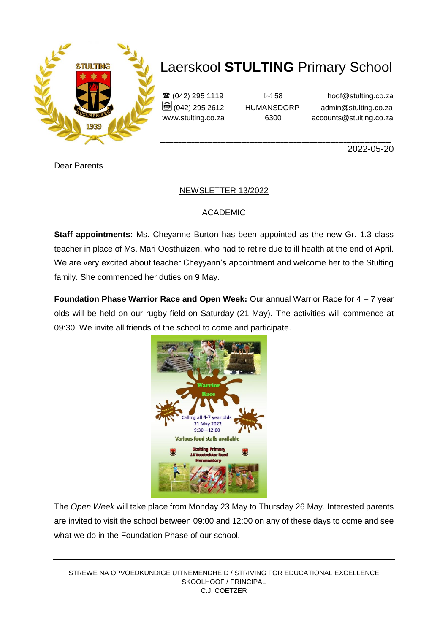

## Laerskool **STULTING** Primary School

 $\mathbf{\hat{\mathbf{x}}}$  (042) 295 1119  $\Box$  58 hoof@stulting.co.za  $\bigcirc$  (042) 295 2612 HUMANSDORP admin@stulting.co.za www.stulting.co.za 6300 accounts@stulting.co.za

2022-05-20

Dear Parents

### NEWSLETTER 13/2022

### ACADEMIC

**Staff appointments:** Ms. Cheyanne Burton has been appointed as the new Gr. 1.3 class teacher in place of Ms. Mari Oosthuizen, who had to retire due to ill health at the end of April. We are very excited about teacher Cheyyann's appointment and welcome her to the Stulting family. She commenced her duties on 9 May.

**Foundation Phase Warrior Race and Open Week:** Our annual Warrior Race for 4 – 7 year olds will be held on our rugby field on Saturday (21 May). The activities will commence at 09:30. We invite all friends of the school to come and participate.



The *Open Week* will take place from Monday 23 May to Thursday 26 May. Interested parents are invited to visit the school between 09:00 and 12:00 on any of these days to come and see what we do in the Foundation Phase of our school.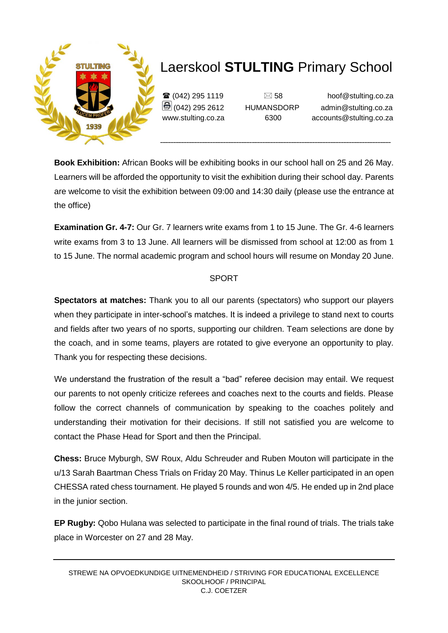

# Laerskool **STULTING** Primary School

 $\mathbf{\widehat{a}}$  (042) 295 1119  $\Box$  58 hoof@stulting.co.za (042) 295 2612 HUMANSDORP admin@stulting.co.za www.stulting.co.za 6300 accounts@stulting.co.za

**Book Exhibition:** African Books will be exhibiting books in our school hall on 25 and 26 May. Learners will be afforded the opportunity to visit the exhibition during their school day. Parents are welcome to visit the exhibition between 09:00 and 14:30 daily (please use the entrance at the office)

**Examination Gr. 4-7:** Our Gr. 7 learners write exams from 1 to 15 June. The Gr. 4-6 learners write exams from 3 to 13 June. All learners will be dismissed from school at 12:00 as from 1 to 15 June. The normal academic program and school hours will resume on Monday 20 June.

### SPORT

**Spectators at matches:** Thank you to all our parents (spectators) who support our players when they participate in inter-school's matches. It is indeed a privilege to stand next to courts and fields after two years of no sports, supporting our children. Team selections are done by the coach, and in some teams, players are rotated to give everyone an opportunity to play. Thank you for respecting these decisions.

We understand the frustration of the result a "bad" referee decision may entail. We request our parents to not openly criticize referees and coaches next to the courts and fields. Please follow the correct channels of communication by speaking to the coaches politely and understanding their motivation for their decisions. If still not satisfied you are welcome to contact the Phase Head for Sport and then the Principal.

**Chess:** Bruce Myburgh, SW Roux, Aldu Schreuder and Ruben Mouton will participate in the u/13 Sarah Baartman Chess Trials on Friday 20 May. Thinus Le Keller participated in an open CHESSA rated chess tournament. He played 5 rounds and won 4/5. He ended up in 2nd place in the junior section.

**EP Rugby:** Qobo Hulana was selected to participate in the final round of trials. The trials take place in Worcester on 27 and 28 May.